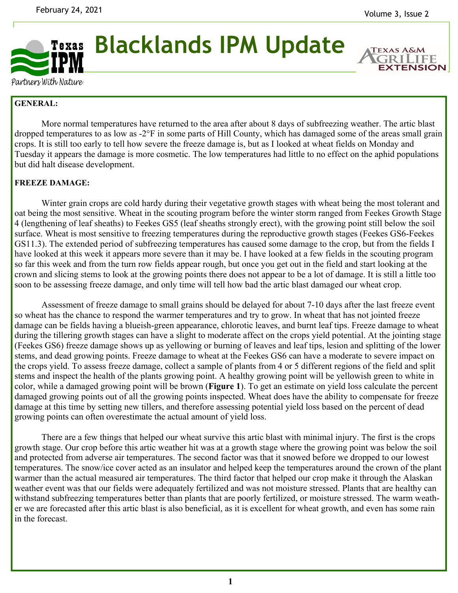**EXTENSION** 



Partners With Nature

## **GENERAL:**

 More normal temperatures have returned to the area after about 8 days of subfreezing weather. The artic blast dropped temperatures to as low as -2°F in some parts of Hill County, which has damaged some of the areas small grain crops. It is still too early to tell how severe the freeze damage is, but as I looked at wheat fields on Monday and Tuesday it appears the damage is more cosmetic. The low temperatures had little to no effect on the aphid populations but did halt disease development.

## **FREEZE DAMAGE:**

 Winter grain crops are cold hardy during their vegetative growth stages with wheat being the most tolerant and oat being the most sensitive. Wheat in the scouting program before the winter storm ranged from Feekes Growth Stage 4 (lengthening of leaf sheaths) to Feekes GS5 (leaf sheaths strongly erect), with the growing point still below the soil surface. Wheat is most sensitive to freezing temperatures during the reproductive growth stages (Feekes GS6-Feekes GS11.3). The extended period of subfreezing temperatures has caused some damage to the crop, but from the fields I have looked at this week it appears more severe than it may be. I have looked at a few fields in the scouting program so far this week and from the turn row fields appear rough, but once you get out in the field and start looking at the crown and slicing stems to look at the growing points there does not appear to be a lot of damage. It is still a little too soon to be assessing freeze damage, and only time will tell how bad the artic blast damaged our wheat crop.

 Assessment of freeze damage to small grains should be delayed for about 7-10 days after the last freeze event so wheat has the chance to respond the warmer temperatures and try to grow. In wheat that has not jointed freeze damage can be fields having a blueish-green appearance, chlorotic leaves, and burnt leaf tips. Freeze damage to wheat during the tillering growth stages can have a slight to moderate affect on the crops yield potential. At the jointing stage (Feekes GS6) freeze damage shows up as yellowing or burning of leaves and leaf tips, lesion and splitting of the lower stems, and dead growing points. Freeze damage to wheat at the Feekes GS6 can have a moderate to severe impact on the crops yield. To assess freeze damage, collect a sample of plants from 4 or 5 different regions of the field and split stems and inspect the health of the plants growing point. A healthy growing point will be yellowish green to white in color, while a damaged growing point will be brown (**Figure 1**). To get an estimate on yield loss calculate the percent damaged growing points out of all the growing points inspected. Wheat does have the ability to compensate for freeze damage at this time by setting new tillers, and therefore assessing potential yield loss based on the percent of dead growing points can often overestimate the actual amount of yield loss.

 There are a few things that helped our wheat survive this artic blast with minimal injury. The first is the crops growth stage. Our crop before this artic weather hit was at a growth stage where the growing point was below the soil and protected from adverse air temperatures. The second factor was that it snowed before we dropped to our lowest temperatures. The snow/ice cover acted as an insulator and helped keep the temperatures around the crown of the plant warmer than the actual measured air temperatures. The third factor that helped our crop make it through the Alaskan weather event was that our fields were adequately fertilized and was not moisture stressed. Plants that are healthy can withstand subfreezing temperatures better than plants that are poorly fertilized, or moisture stressed. The warm weather we are forecasted after this artic blast is also beneficial, as it is excellent for wheat growth, and even has some rain in the forecast.